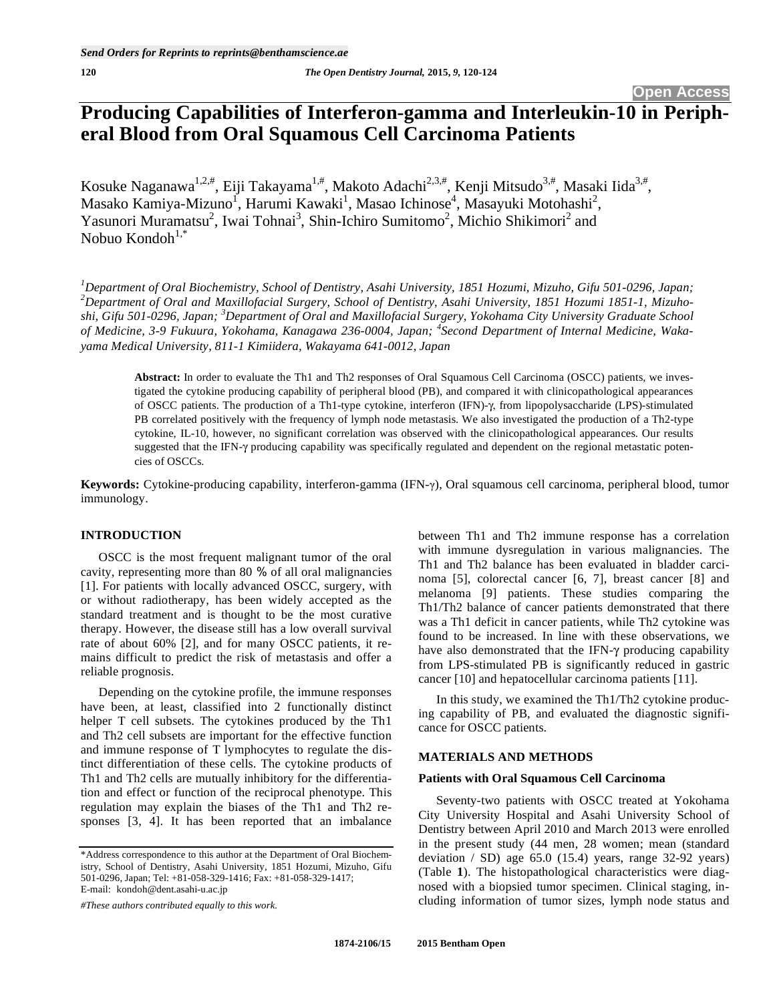# **Producing Capabilities of Interferon-gamma and Interleukin-10 in Peripheral Blood from Oral Squamous Cell Carcinoma Patients**

Kosuke Naganawa<sup>1,2,#</sup>, Eiji Takayama<sup>1,#</sup>, Makoto Adachi<sup>2,3,#</sup>, Kenji Mitsudo<sup>3,#</sup>, Masaki Iida<sup>3,#</sup>, Masako Kamiya-Mizuno<sup>1</sup>, Harumi Kawaki<sup>1</sup>, Masao Ichinose<sup>4</sup>, Masayuki Motohashi<sup>2</sup>, Yasunori Muramatsu<sup>2</sup>, Iwai Tohnai<sup>3</sup>, Shin-Ichiro Sumitomo<sup>2</sup>, Michio Shikimori<sup>2</sup> and Nobuo Kondoh $1,*$ 

*1 Department of Oral Biochemistry, School of Dentistry, Asahi University, 1851 Hozumi, Mizuho, Gifu 501-0296, Japan; 2 Department of Oral and Maxillofacial Surgery, School of Dentistry, Asahi University, 1851 Hozumi 1851-1, Mizuhoshi, Gifu 501-0296, Japan; <sup>3</sup> Department of Oral and Maxillofacial Surgery, Yokohama City University Graduate School of Medicine, 3-9 Fukuura, Yokohama, Kanagawa 236-0004, Japan; <sup>4</sup> Second Department of Internal Medicine, Wakayama Medical University, 811-1 Kimiidera, Wakayama 641-0012, Japan* 

**Abstract:** In order to evaluate the Th1 and Th2 responses of Oral Squamous Cell Carcinoma (OSCC) patients, we investigated the cytokine producing capability of peripheral blood (PB), and compared it with clinicopathological appearances of OSCC patients. The production of a Th1-type cytokine, interferon (IFN)-γ, from lipopolysaccharide (LPS)-stimulated PB correlated positively with the frequency of lymph node metastasis. We also investigated the production of a Th2-type cytokine, IL-10, however, no significant correlation was observed with the clinicopathological appearances. Our results suggested that the IFN- $\gamma$  producing capability was specifically regulated and dependent on the regional metastatic potencies of OSCCs.

Keywords: Cytokine-producing capability, interferon-gamma (IFN- $\gamma$ ), Oral squamous cell carcinoma, peripheral blood, tumor immunology.

# **INTRODUCTION**

OSCC is the most frequent malignant tumor of the oral cavity, representing more than 80 % of all oral malignancies [1]. For patients with locally advanced OSCC, surgery, with or without radiotherapy, has been widely accepted as the standard treatment and is thought to be the most curative therapy. However, the disease still has a low overall survival rate of about 60% [2], and for many OSCC patients, it remains difficult to predict the risk of metastasis and offer a reliable prognosis.

Depending on the cytokine profile, the immune responses have been, at least, classified into 2 functionally distinct helper T cell subsets. The cytokines produced by the Th1 and Th2 cell subsets are important for the effective function and immune response of T lymphocytes to regulate the distinct differentiation of these cells. The cytokine products of Th1 and Th2 cells are mutually inhibitory for the differentiation and effect or function of the reciprocal phenotype. This regulation may explain the biases of the Th1 and Th2 responses [3, 4]. It has been reported that an imbalance

*#These authors contributed equally to this work.* 

between Th1 and Th2 immune response has a correlation with immune dysregulation in various malignancies. The Th1 and Th2 balance has been evaluated in bladder carcinoma [5], colorectal cancer [6, 7], breast cancer [8] and melanoma [9] patients. These studies comparing the Th1/Th2 balance of cancer patients demonstrated that there was a Th1 deficit in cancer patients, while Th2 cytokine was found to be increased. In line with these observations, we have also demonstrated that the IFN- $\gamma$  producing capability from LPS-stimulated PB is significantly reduced in gastric cancer [10] and hepatocellular carcinoma patients [11].

In this study, we examined the Th1/Th2 cytokine producing capability of PB, and evaluated the diagnostic significance for OSCC patients.

# **MATERIALS AND METHODS**

#### **Patients with Oral Squamous Cell Carcinoma**

Seventy-two patients with OSCC treated at Yokohama City University Hospital and Asahi University School of Dentistry between April 2010 and March 2013 were enrolled in the present study (44 men, 28 women; mean (standard deviation  $/$  SD) age 65.0 (15.4) years, range 32-92 years) (Table **1**). The histopathological characteristics were diagnosed with a biopsied tumor specimen. Clinical staging, including information of tumor sizes, lymph node status and

<sup>\*</sup>Address correspondence to this author at the Department of Oral Biochemistry, School of Dentistry, Asahi University, 1851 Hozumi, Mizuho, Gifu 501-0296, Japan; Tel: +81-058-329-1416; Fax: +81-058-329-1417; E-mail: kondoh@dent.asahi-u.ac.jp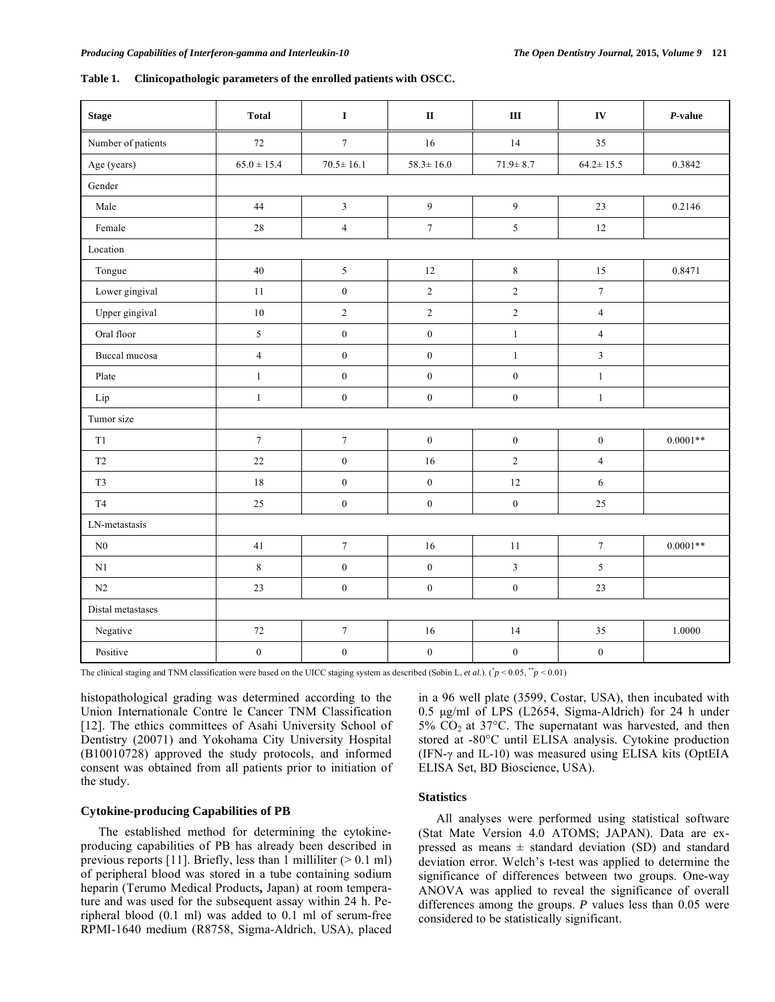| Table 1. | Clinicopathologic parameters of the enrolled patients with OSCC. |  |
|----------|------------------------------------------------------------------|--|
|          |                                                                  |  |

| <b>Stage</b>       | <b>Total</b>     | $\mathbf I$      | $\, {\bf I} {\bf I}$ | $\rm III$               | IV               | $P$ -value |
|--------------------|------------------|------------------|----------------------|-------------------------|------------------|------------|
| Number of patients | $72\,$           | $\boldsymbol{7}$ | 16                   | 14                      | 35               |            |
| Age (years)        | $65.0 \pm 15.4$  | $70.5 \pm 16.1$  | $58.3 \pm 16.0$      | $71.9 \pm 8.7$          | $64.2 \pm 15.5$  | 0.3842     |
| Gender             |                  |                  |                      |                         |                  |            |
| Male               | 44               | $\mathfrak{Z}$   | $\overline{9}$       | $\overline{9}$          | 23               | 0.2146     |
| Female             | $28\,$           | $\sqrt{4}$       | $\boldsymbol{7}$     | 5                       | $12\,$           |            |
| Location           |                  |                  |                      |                         |                  |            |
| Tongue             | 40               | $\sqrt{5}$       | 12                   | $\,8\,$                 | 15               | 0.8471     |
| Lower gingival     | 11               | $\boldsymbol{0}$ | $\sqrt{2}$           | $\boldsymbol{2}$        | $\boldsymbol{7}$ |            |
| Upper gingival     | $10\,$           | $\sqrt{2}$       | $\sqrt{2}$           | $\overline{c}$          | $\overline{4}$   |            |
| Oral floor         | 5                | $\boldsymbol{0}$ | $\boldsymbol{0}$     | $\mathbf{1}$            | $\overline{4}$   |            |
| Buccal mucosa      | $\overline{4}$   | $\boldsymbol{0}$ | $\boldsymbol{0}$     | $\mathbf{1}$            | $\mathfrak{Z}$   |            |
| Plate              | $\mathbf{1}$     | $\boldsymbol{0}$ | $\boldsymbol{0}$     | $\boldsymbol{0}$        | $\mathbf{1}$     |            |
| Lip                | $\,1\,$          | $\boldsymbol{0}$ | $\boldsymbol{0}$     | $\boldsymbol{0}$        | $\,1$            |            |
| Tumor size         |                  |                  |                      |                         |                  |            |
| T1                 | $\boldsymbol{7}$ | $\boldsymbol{7}$ | $\boldsymbol{0}$     | $\boldsymbol{0}$        | $\boldsymbol{0}$ | $0.0001**$ |
| $\rm{T}2$          | 22               | $\boldsymbol{0}$ | 16                   | $\overline{c}$          | $\overline{4}$   |            |
| T <sub>3</sub>     | 18               | $\boldsymbol{0}$ | $\boldsymbol{0}$     | 12                      | 6                |            |
| T <sub>4</sub>     | 25               | $\boldsymbol{0}$ | $\boldsymbol{0}$     | $\boldsymbol{0}$        | 25               |            |
| LN-metastasis      |                  |                  |                      |                         |                  |            |
| N <sub>0</sub>     | 41               | $\boldsymbol{7}$ | $16\,$               | 11                      | $\boldsymbol{7}$ | $0.0001**$ |
| N1                 | 8                | $\boldsymbol{0}$ | $\boldsymbol{0}$     | $\overline{\mathbf{3}}$ | 5                |            |
| N2                 | 23               | $\boldsymbol{0}$ | $\boldsymbol{0}$     | $\boldsymbol{0}$        | 23               |            |
| Distal metastases  |                  |                  |                      |                         |                  |            |
| Negative           | $72\,$           | $\boldsymbol{7}$ | 16                   | 14                      | 35               | 1.0000     |
| Positive           | $\boldsymbol{0}$ | $\boldsymbol{0}$ | $\boldsymbol{0}$     | $\boldsymbol{0}$        | $\boldsymbol{0}$ |            |

The clinical staging and TNM classification were based on the UICC staging system as described (Sobin L, *et al.*). ( $\dot{p}$  < 0.05,  $\dot{p}$  < 0.01)

histopathological grading was determined according to the Union Internationale Contre le Cancer TNM Classification [12]. The ethics committees of Asahi University School of Dentistry (20071) and Yokohama City University Hospital (B10010728) approved the study protocols, and informed consent was obtained from all patients prior to initiation of the study.

# **Cytokine-producing Capabilities of PB**

The established method for determining the cytokineproducing capabilities of PB has already been described in previous reports [11]. Briefly, less than 1 milliliter  $(> 0.1$  ml) of peripheral blood was stored in a tube containing sodium heparin (Terumo Medical Products**,** Japan) at room temperature and was used for the subsequent assay within 24 h. Peripheral blood (0.1 ml) was added to 0.1 ml of serum-free RPMI-1640 medium (R8758, Sigma-Aldrich, USA), placed in a 96 well plate (3599, Costar, USA), then incubated with 0.5 μg/ml of LPS (L2654, Sigma-Aldrich) for 24 h under 5% CO2 at 37°C. The supernatant was harvested, and then stored at -80°C until ELISA analysis. Cytokine production (IFN- $\gamma$  and IL-10) was measured using ELISA kits (OptEIA ELISA Set, BD Bioscience, USA).

# **Statistics**

All analyses were performed using statistical software (Stat Mate Version 4.0 ATOMS; JAPAN). Data are expressed as means  $\pm$  standard deviation (SD) and standard deviation error. Welch's t-test was applied to determine the significance of differences between two groups. One-way ANOVA was applied to reveal the significance of overall differences among the groups. *P* values less than 0.05 were considered to be statistically significant.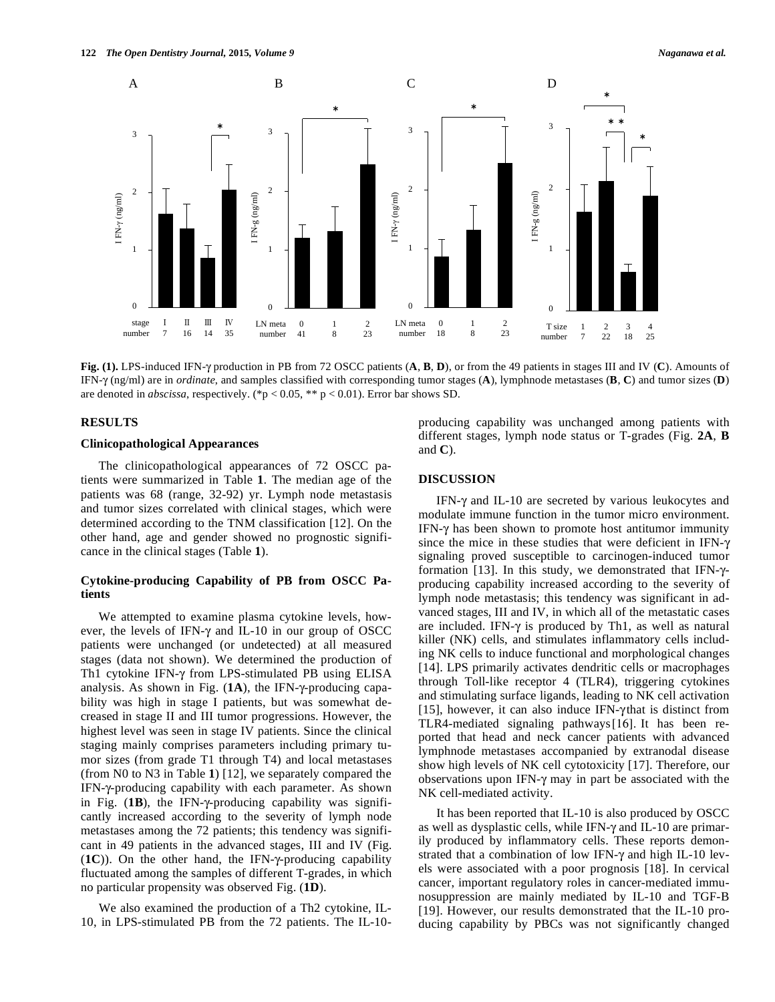

Fig. (1). LPS-induced IFN- $\gamma$  production in PB from 72 OSCC patients (A, B, D), or from the 49 patients in stages III and IV (C). Amounts of IFN- $\gamma$  (ng/ml) are in *ordinate*, and samples classified with corresponding tumor stages (**A**), lymphnode metastases (**B**, **C**) and tumor sizes (**D**) are denoted in *abscissa*, respectively. (\*p < 0.05, \*\* p < 0.01). Error bar shows SD.

#### **RESULTS**

# **Clinicopathological Appearances**

The clinicopathological appearances of 72 OSCC patients were summarized in Table **1**. The median age of the patients was 68 (range, 32-92) yr. Lymph node metastasis and tumor sizes correlated with clinical stages, which were determined according to the TNM classification [12]. On the other hand, age and gender showed no prognostic significance in the clinical stages (Table **1**).

# **Cytokine-producing Capability of PB from OSCC Patients**

We attempted to examine plasma cytokine levels, however, the levels of IFN- $\gamma$  and IL-10 in our group of OSCC patients were unchanged (or undetected) at all measured stages (data not shown). We determined the production of Th1 cytokine IFN- $\gamma$  from LPS-stimulated PB using ELISA analysis. As shown in Fig. (1A), the IFN- $\gamma$ -producing capability was high in stage I patients, but was somewhat decreased in stage II and III tumor progressions. However, the highest level was seen in stage IV patients. Since the clinical staging mainly comprises parameters including primary tumor sizes (from grade T1 through T4) and local metastases (from N0 to N3 in Table **1**) [12], we separately compared the IFN--producing capability with each parameter. As shown in Fig.  $(1B)$ , the IFN- $\gamma$ -producing capability was significantly increased according to the severity of lymph node metastases among the 72 patients; this tendency was significant in 49 patients in the advanced stages, III and IV (Fig.  $(1C)$ ). On the other hand, the IFN- $\gamma$ -producing capability fluctuated among the samples of different T-grades, in which no particular propensity was observed Fig. (**1D**).

We also examined the production of a Th2 cytokine, IL-10, in LPS-stimulated PB from the 72 patients. The IL-10producing capability was unchanged among patients with different stages, lymph node status or T-grades (Fig. **2A**, **B** and **C**).

# **DISCUSSION**

IFN- $\gamma$  and IL-10 are secreted by various leukocytes and modulate immune function in the tumor micro environment. IFN- $\gamma$  has been shown to promote host antitumor immunity since the mice in these studies that were deficient in IFN- $\gamma$ signaling proved susceptible to carcinogen-induced tumor formation [13]. In this study, we demonstrated that IFN- $\gamma$ producing capability increased according to the severity of lymph node metastasis; this tendency was significant in advanced stages, III and IV, in which all of the metastatic cases are included. IFN- $\gamma$  is produced by Th1, as well as natural killer (NK) cells, and stimulates inflammatory cells including NK cells to induce functional and morphological changes [14]. LPS primarily activates dendritic cells or macrophages through Toll-like receptor 4 (TLR4), triggering cytokines and stimulating surface ligands, leading to NK cell activation [15], however, it can also induce IFN- $\gamma$ that is distinct from TLR4-mediated signaling pathways [16]. It has been reported that head and neck cancer patients with advanced lymphnode metastases accompanied by extranodal disease show high levels of NK cell cytotoxicity [17]. Therefore, our observations upon IFN- $\gamma$  may in part be associated with the NK cell-mediated activity.

It has been reported that IL-10 is also produced by OSCC as well as dysplastic cells, while IFN- $\gamma$  and IL-10 are primarily produced by inflammatory cells. These reports demonstrated that a combination of low IFN- $\gamma$  and high IL-10 levels were associated with a poor prognosis [18]. In cervical cancer, important regulatory roles in cancer-mediated immunosuppression are mainly mediated by IL-10 and TGF-B [19]. However, our results demonstrated that the IL-10 producing capability by PBCs was not significantly changed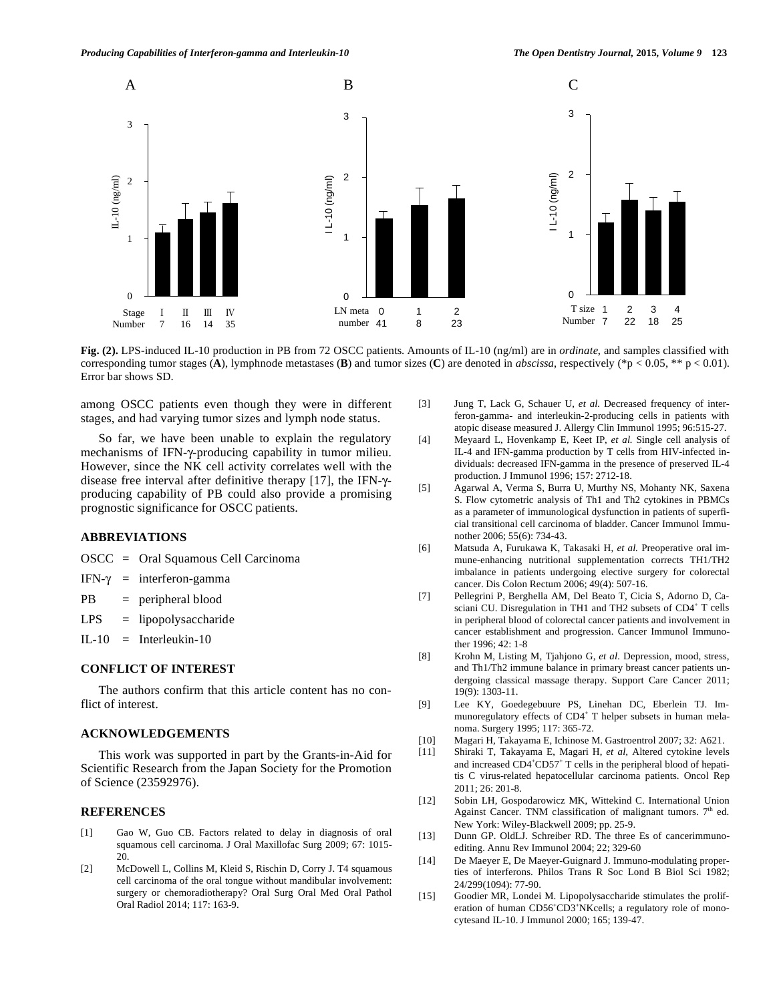

**Fig. (2).** LPS-induced IL-10 production in PB from 72 OSCC patients. Amounts of IL-10 (ng/ml) are in *ordinate*, and samples classified with corresponding tumor stages (**A**), lymphnode metastases (**B**) and tumor sizes (**C**) are denoted in *abscissa*, respectively (\*p < 0.05, \*\* p < 0.01). Error bar shows SD.

among OSCC patients even though they were in different stages, and had varying tumor sizes and lymph node status.

So far, we have been unable to explain the regulatory mechanisms of IFN- $\gamma$ -producing capability in tumor milieu. However, since the NK cell activity correlates well with the disease free interval after definitive therapy [17], the IFN- $\gamma$ producing capability of PB could also provide a promising prognostic significance for OSCC patients.

# **ABBREVIATIONS**

- OSCC = Oral Squamous Cell Carcinoma
- IFN- $\gamma$  = interferon-gamma
- PB = peripheral blood

 $LPS = lipopolysaccharide$ 

IL-10 = Interleukin-10

# **CONFLICT OF INTEREST**

The authors confirm that this article content has no conflict of interest.

#### **ACKNOWLEDGEMENTS**

This work was supported in part by the Grants-in-Aid for Scientific Research from the Japan Society for the Promotion of Science (23592976).

# **REFERENCES**

- [1] Gao W, Guo CB. Factors related to delay in diagnosis of oral squamous cell carcinoma. J Oral Maxillofac Surg 2009; 67: 1015- 20.
- [2] McDowell L, Collins M, Kleid S, Rischin D, Corry J. T4 squamous cell carcinoma of the oral tongue without mandibular involvement: surgery or chemoradiotherapy? Oral Surg Oral Med Oral Pathol Oral Radiol 2014; 117: 163-9.
- [3] Jung T, Lack G, Schauer U, *et al.* Decreased frequency of interferon-gamma- and interleukin-2-producing cells in patients with atopic disease measured J. Allergy Clin Immunol 1995; 96:515-27.
- [4] Meyaard L, Hovenkamp E, Keet IP, *et al.* Single cell analysis of IL-4 and IFN-gamma production by T cells from HIV-infected individuals: decreased IFN-gamma in the presence of preserved IL-4 production. J Immunol 1996; 157: 2712-18.
- [5] Agarwal A, Verma S, Burra U, Murthy NS, Mohanty NK, Saxena S. Flow cytometric analysis of Th1 and Th2 cytokines in PBMCs as a parameter of immunological dysfunction in patients of superficial transitional cell carcinoma of bladder. Cancer Immunol Immunother 2006; 55(6): 734-43.
- [6] Matsuda A, Furukawa K, Takasaki H, *et al.* Preoperative oral immune-enhancing nutritional supplementation corrects TH1/TH2 imbalance in patients undergoing elective surgery for colorectal cancer. Dis Colon Rectum 2006; 49(4): 507-16.
- [7] Pellegrini P, Berghella AM, Del Beato T, Cicia S, Adorno D, Casciani CU. Disregulation in TH1 and TH2 subsets of CD4<sup>+</sup> T cells in peripheral blood of colorectal cancer patients and involvement in cancer establishment and progression. Cancer Immunol Immunother 1996; 42: 1-8
- [8] Krohn M, Listing M, Tjahjono G, *et al.* Depression, mood, stress, and Th1/Th2 immune balance in primary breast cancer patients undergoing classical massage therapy. Support Care Cancer 2011; 19(9): 1303-11.
- [9] Lee KY, Goedegebuure PS, Linehan DC, Eberlein TJ. Immunoregulatory effects of CD4<sup>+</sup> T helper subsets in human melanoma. Surgery 1995; 117: 365-72.
- [10] Magari H, Takayama E, Ichinose M. Gastroentrol 2007; 32: A621.
- [11] Shiraki T, Takayama E, Magari H, *et al,* Altered cytokine levels and increased CD4<sup>+</sup>CD57<sup>+</sup> T cells in the peripheral blood of hepatitis C virus-related hepatocellular carcinoma patients. Oncol Rep 2011; 26: 201-8.
- [12] Sobin LH, Gospodarowicz MK, Wittekind C. International Union Against Cancer. TNM classification of malignant tumors.  $7<sup>th</sup>$  ed. New York: Wiley-Blackwell 2009; pp. 25-9.
- [13] Dunn GP. OldLJ. Schreiber RD. The three Es of cancerimmunoediting. Annu Rev Immunol 2004; 22; 329-60
- [14] De Maeyer E, De Maeyer-Guignard J. Immuno-modulating properties of interferons. Philos Trans R Soc Lond B Biol Sci 1982; 24/299(1094): 77-90.
- [15] Goodier MR, Londei M. Lipopolysaccharide stimulates the proliferation of human CD56<sup>+</sup>CD3<sup>+</sup>NKcells; a regulatory role of monocytesand IL-10. J Immunol 2000; 165; 139-47.